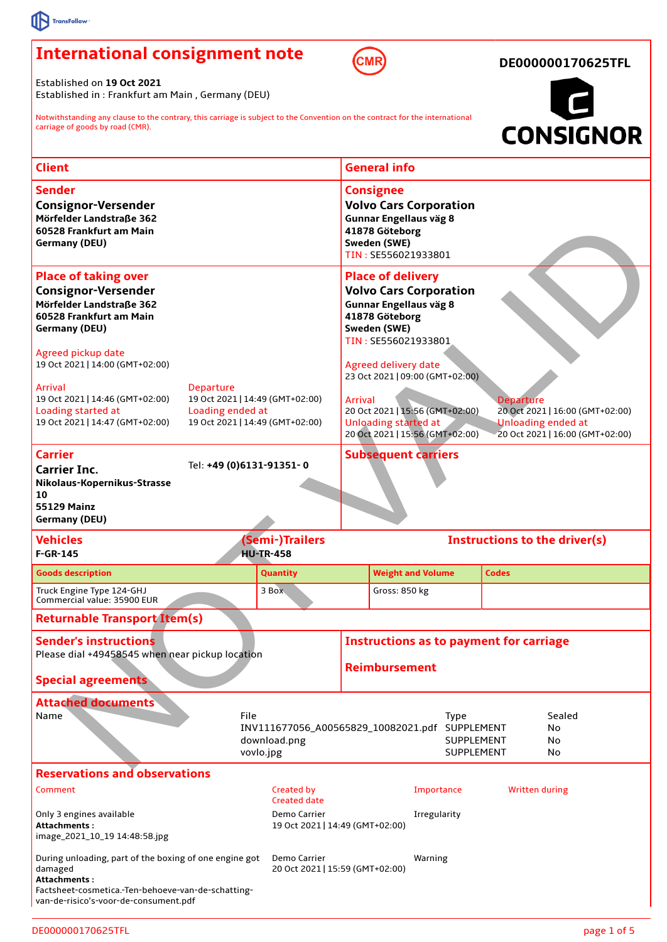## **International consignment note**



**DE000000170625TFL**

Established on **19 Oct 2021** Established in : Frankfurt am Main , Germany (DEU)

Notwithstanding any clause to the contrary, this carriage is subject to the Convention on the contract for the international carriage of goods by road (CMR).



| <b>Client</b>                                                                                                                                                                                   |                                                                    | <b>General info</b>                                                                                                                                                                                                                        |
|-------------------------------------------------------------------------------------------------------------------------------------------------------------------------------------------------|--------------------------------------------------------------------|--------------------------------------------------------------------------------------------------------------------------------------------------------------------------------------------------------------------------------------------|
|                                                                                                                                                                                                 |                                                                    |                                                                                                                                                                                                                                            |
| <b>Sender</b><br><b>Consignor-Versender</b><br>Mörfelder Landstraße 362<br>60528 Frankfurt am Main<br>Germany (DEU)                                                                             |                                                                    | <b>Consignee</b><br><b>Volvo Cars Corporation</b><br><b>Gunnar Engellaus väg 8</b><br>41878 Göteborg<br>Sweden (SWE)<br>TIN: SE556021933801                                                                                                |
| <b>Place of taking over</b><br><b>Consignor-Versender</b><br>Mörfelder Landstraße 362<br>60528 Frankfurt am Main<br>Germany (DEU)                                                               |                                                                    | <b>Place of delivery</b><br><b>Volvo Cars Corporation</b><br><b>Gunnar Engellaus väg 8</b><br>41878 Göteborg<br>Sweden (SWE)<br>TIN: SE556021933801                                                                                        |
| Agreed pickup date<br>19 Oct 2021   14:00 (GMT+02:00)                                                                                                                                           |                                                                    | <b>Agreed delivery date</b><br>23 Oct 2021   09:00 (GMT+02:00)                                                                                                                                                                             |
| <b>Arrival</b><br><b>Departure</b><br>19 Oct 2021   14:46 (GMT+02:00)<br>Loading started at<br>Loading ended at<br>19 Oct 2021   14:47 (GMT+02:00)                                              | 19 Oct 2021   14:49 (GMT+02:00)<br>19 Oct 2021   14:49 (GMT+02:00) | <b>Arrival</b><br><b>Departure</b><br>20 Oct 2021   15:56 (GMT+02:00)<br>20 Oct 2021   16:00 (GMT+02:00)<br><b>Unloading started at</b><br><b>Unloading ended at</b><br>20 Oct 2021   15:56 (GMT+02:00)<br>20 Oct 2021   16:00 (GMT+02:00) |
| <b>Carrier</b><br><b>Carrier Inc.</b><br>Nikolaus-Kopernikus-Strasse<br>10<br><b>55129 Mainz</b><br><b>Germany (DEU)</b>                                                                        | Tel: +49 (0)6131-91351-0                                           | <b>Subsequent carriers</b>                                                                                                                                                                                                                 |
| <b>Vehicles</b><br>$F-GR-145$                                                                                                                                                                   | (Semi-)Trailers<br><b>HU-TR-458</b>                                | Instructions to the driver(s)                                                                                                                                                                                                              |
| <b>Goods description</b>                                                                                                                                                                        | <b>Quantity</b>                                                    | <b>Weight and Volume</b><br><b>Codes</b>                                                                                                                                                                                                   |
| Truck Engine Type 124-GHJ<br>Commercial value: 35900 EUR                                                                                                                                        | 3 Box                                                              | Gross: 850 kg                                                                                                                                                                                                                              |
| <b>Returnable Transport Item(s)</b>                                                                                                                                                             |                                                                    |                                                                                                                                                                                                                                            |
| <b>Sender's instructions</b><br>Please dial +49458545 when near pickup location<br><b>Special agreements</b>                                                                                    |                                                                    | <b>Instructions as to payment for carriage</b><br><b>Reimbursement</b>                                                                                                                                                                     |
| <b>Attached documents</b><br>File<br>Name<br>Sealed<br><b>Type</b><br>INV111677056 A00565829 10082021.pdf SUPPLEMENT<br>No<br>SUPPLEMENT<br>download.png<br>No<br>vovlo.jpg<br>SUPPLEMENT<br>No |                                                                    |                                                                                                                                                                                                                                            |
| <b>Reservations and observations</b>                                                                                                                                                            |                                                                    |                                                                                                                                                                                                                                            |
| Comment                                                                                                                                                                                         | Created by<br>Created date                                         | Importance<br><b>Written during</b>                                                                                                                                                                                                        |
| Only 3 engines available<br>Demo Carrier<br>Irregularity<br>Attachments :<br>19 Oct 2021   14:49 (GMT+02:00)<br>image_2021_10_19 14:48:58 jpg                                                   |                                                                    |                                                                                                                                                                                                                                            |
| During unloading, part of the boxing of one engine got<br>damaged<br>Attachments :                                                                                                              | Demo Carrier<br>20 Oct 2021   15:59 (GMT+02:00)                    | Warning                                                                                                                                                                                                                                    |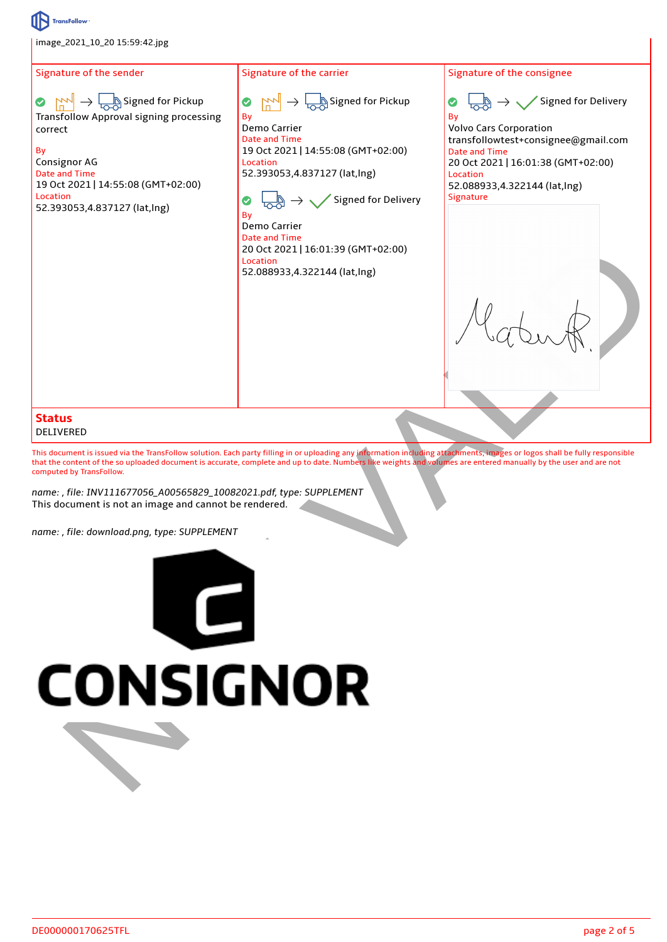

Signature of the consignee



Volvo Cars Corporation transfollowtest+consignee@gmail.com Date and Time 20 Oct 2021 | 16:01:38 (GMT+02:00) 52.088933,4.322144 (lat,lng)



## **Status** DELIVERED

This document is issued via the TransFollow solution. Each party filling in or uploading any information including attachments, images or logos shall be fully responsible that the content of the so uploaded document is accurate, complete and up to date. Numbers like weights and volumes are entered manually by the user and are not computed by TransFollow.

*name: , file: INV111677056\_A00565829\_10082021.pdf, type: SUPPLEMENT* This document is not an image and cannot be rendered.

*name: , file: download.png, type: SUPPLEMENT*

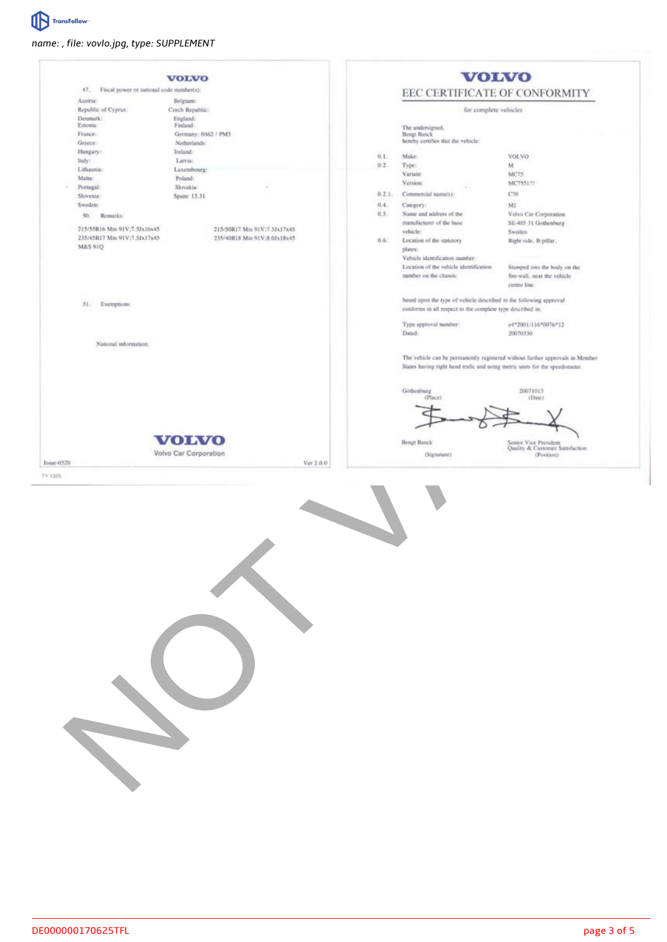

## *name: , file: vovlo.jpg, type: SUPPLEMENT*

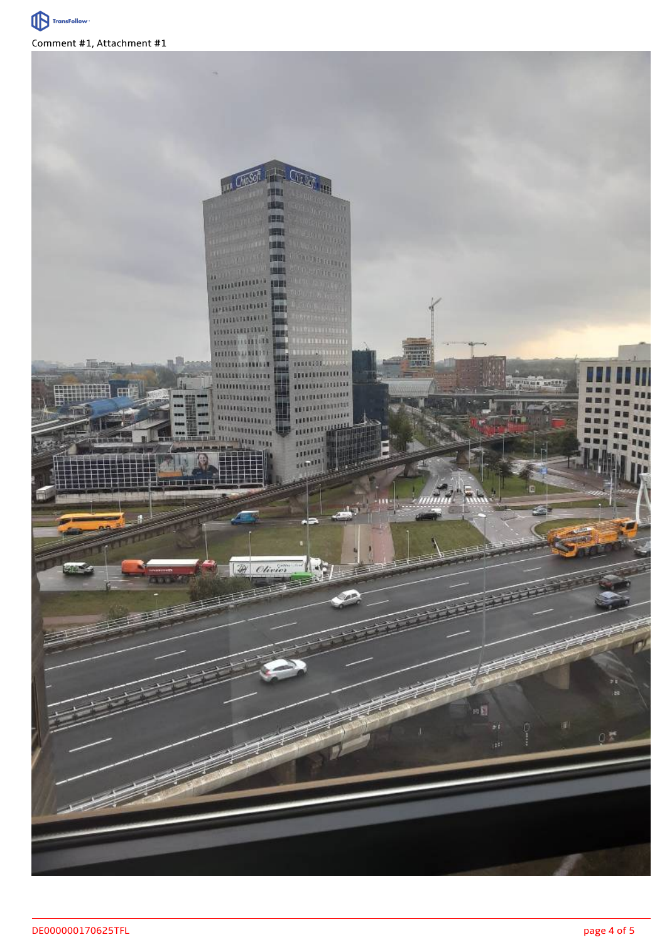

Comment #1, Attachment #1